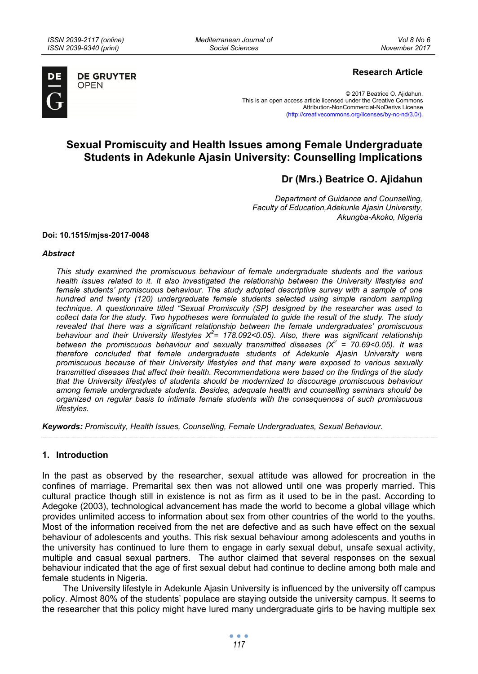*Mediterranean Journal of Social Sciences* 



**DE GRUYTER OPEN** 

# **Research Article**

© 2017 Beatrice O. Ajidahun. This is an open access article licensed under the Creative Commons Attribution-NonCommercial-NoDerivs License (http://creativecommons.org/licenses/by-nc-nd/3.0/).

# **Sexual Promiscuity and Health Issues among Female Undergraduate Students in Adekunle Ajasin University: Counselling Implications**

**Dr (Mrs.) Beatrice O. Ajidahun** 

*Department of Guidance and Counselling, Faculty of Education,Adekunle Ajasin University, Akungba-Akoko, Nigeria* 

#### **Doi: 10.1515/mjss-2017-0048**

#### *Abstract*

*This study examined the promiscuous behaviour of female undergraduate students and the various health issues related to it. It also investigated the relationship between the University lifestyles and female students' promiscuous behaviour. The study adopted descriptive survey with a sample of one hundred and twenty (120) undergraduate female students selected using simple random sampling technique. A questionnaire titled "Sexual Promiscuity (SP) designed by the researcher was used to collect data for the study. Two hypotheses were formulated to guide the result of the study. The study revealed that there was a significant relationship between the female undergraduates' promiscuous behaviour and their University lifestyles X<sup>2</sup> = 178.092<0.05). Also, there was significant relationship between the promiscuous behaviour and sexually transmitted diseases (X<sup>2</sup> = 70.69<0.05). It was therefore concluded that female undergraduate students of Adekunle Ajasin University were promiscuous because of their University lifestyles and that many were exposed to various sexually transmitted diseases that affect their health. Recommendations were based on the findings of the study that the University lifestyles of students should be modernized to discourage promiscuous behaviour among female undergraduate students. Besides, adequate health and counselling seminars should be organized on regular basis to intimate female students with the consequences of such promiscuous lifestyles.* 

*Keywords: Promiscuity, Health Issues, Counselling, Female Undergraduates, Sexual Behaviour.* 

#### **1. Introduction**

In the past as observed by the researcher, sexual attitude was allowed for procreation in the confines of marriage. Premarital sex then was not allowed until one was properly married. This cultural practice though still in existence is not as firm as it used to be in the past. According to Adegoke (2003), technological advancement has made the world to become a global village which provides unlimited access to information about sex from other countries of the world to the youths. Most of the information received from the net are defective and as such have effect on the sexual behaviour of adolescents and youths. This risk sexual behaviour among adolescents and youths in the university has continued to lure them to engage in early sexual debut, unsafe sexual activity, multiple and casual sexual partners. The author claimed that several responses on the sexual behaviour indicated that the age of first sexual debut had continue to decline among both male and female students in Nigeria.

The University lifestyle in Adekunle Ajasin University is influenced by the university off campus policy. Almost 80% of the students' populace are staying outside the university campus. It seems to the researcher that this policy might have lured many undergraduate girls to be having multiple sex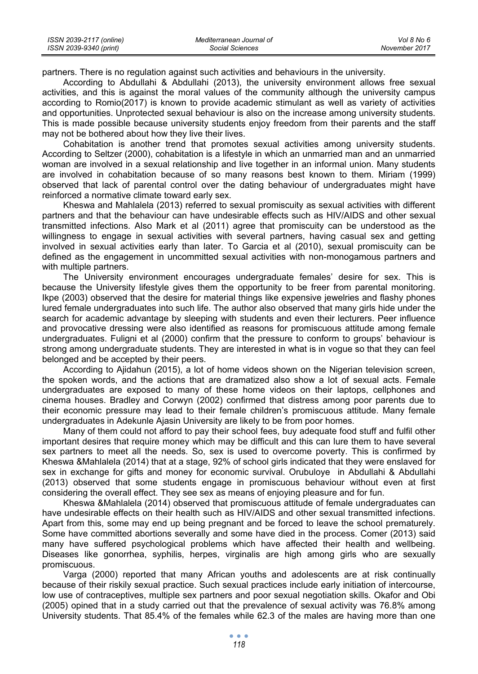| ISSN 2039-2117 (online) | Mediterranean Journal of | Vol 8 No 6    |
|-------------------------|--------------------------|---------------|
| ISSN 2039-9340 (print)  | Social Sciences          | November 2017 |

partners. There is no regulation against such activities and behaviours in the university.

According to Abdullahi & Abdullahi (2013), the university environment allows free sexual activities, and this is against the moral values of the community although the university campus according to Romio(2017) is known to provide academic stimulant as well as variety of activities and opportunities. Unprotected sexual behaviour is also on the increase among university students. This is made possible because university students enjoy freedom from their parents and the staff may not be bothered about how they live their lives.

Cohabitation is another trend that promotes sexual activities among university students. According to Seltzer (2000), cohabitation is a lifestyle in which an unmarried man and an unmarried woman are involved in a sexual relationship and live together in an informal union. Many students are involved in cohabitation because of so many reasons best known to them. Miriam (1999) observed that lack of parental control over the dating behaviour of undergraduates might have reinforced a normative climate toward early sex.

Kheswa and Mahlalela (2013) referred to sexual promiscuity as sexual activities with different partners and that the behaviour can have undesirable effects such as HIV/AIDS and other sexual transmitted infections. Also Mark et al (2011) agree that promiscuity can be understood as the willingness to engage in sexual activities with several partners, having casual sex and getting involved in sexual activities early than later. To Garcia et al (2010), sexual promiscuity can be defined as the engagement in uncommitted sexual activities with non-monogamous partners and with multiple partners.

The University environment encourages undergraduate females' desire for sex. This is because the University lifestyle gives them the opportunity to be freer from parental monitoring. Ikpe (2003) observed that the desire for material things like expensive jewelries and flashy phones lured female undergraduates into such life. The author also observed that many girls hide under the search for academic advantage by sleeping with students and even their lecturers. Peer influence and provocative dressing were also identified as reasons for promiscuous attitude among female undergraduates. Fuligni et al (2000) confirm that the pressure to conform to groups' behaviour is strong among undergraduate students. They are interested in what is in vogue so that they can feel belonged and be accepted by their peers.

According to Ajidahun (2015), a lot of home videos shown on the Nigerian television screen, the spoken words, and the actions that are dramatized also show a lot of sexual acts. Female undergraduates are exposed to many of these home videos on their laptops, cellphones and cinema houses. Bradley and Corwyn (2002) confirmed that distress among poor parents due to their economic pressure may lead to their female children's promiscuous attitude. Many female undergraduates in Adekunle Ajasin University are likely to be from poor homes.

Many of them could not afford to pay their school fees, buy adequate food stuff and fulfil other important desires that require money which may be difficult and this can lure them to have several sex partners to meet all the needs. So, sex is used to overcome poverty. This is confirmed by Kheswa &Mahlalela (2014) that at a stage, 92% of school girls indicated that they were enslaved for sex in exchange for gifts and money for economic survival. Orubuloye in Abdullahi & Abdullahi (2013) observed that some students engage in promiscuous behaviour without even at first considering the overall effect. They see sex as means of enjoying pleasure and for fun.

Kheswa &Mahlalela (2014) observed that promiscuous attitude of female undergraduates can have undesirable effects on their health such as HIV/AIDS and other sexual transmitted infections. Apart from this, some may end up being pregnant and be forced to leave the school prematurely. Some have committed abortions severally and some have died in the process. Comer (2013) said many have suffered psychological problems which have affected their health and wellbeing. Diseases like gonorrhea, syphilis, herpes, virginalis are high among girls who are sexually promiscuous.

Varga (2000) reported that many African youths and adolescents are at risk continually because of their riskily sexual practice. Such sexual practices include early initiation of intercourse, low use of contraceptives, multiple sex partners and poor sexual negotiation skills. Okafor and Obi (2005) opined that in a study carried out that the prevalence of sexual activity was 76.8% among University students. That 85.4% of the females while 62.3 of the males are having more than one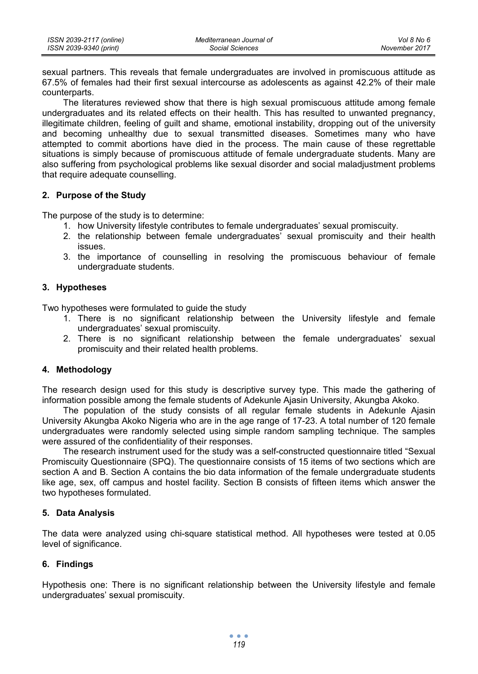sexual partners. This reveals that female undergraduates are involved in promiscuous attitude as 67.5% of females had their first sexual intercourse as adolescents as against 42.2% of their male counterparts.

The literatures reviewed show that there is high sexual promiscuous attitude among female undergraduates and its related effects on their health. This has resulted to unwanted pregnancy, illegitimate children, feeling of guilt and shame, emotional instability, dropping out of the university and becoming unhealthy due to sexual transmitted diseases. Sometimes many who have attempted to commit abortions have died in the process. The main cause of these regrettable situations is simply because of promiscuous attitude of female undergraduate students. Many are also suffering from psychological problems like sexual disorder and social maladjustment problems that require adequate counselling.

### **2. Purpose of the Study**

The purpose of the study is to determine:

- 1. how University lifestyle contributes to female undergraduates' sexual promiscuity.
- 2. the relationship between female undergraduates' sexual promiscuity and their health issues.
- 3. the importance of counselling in resolving the promiscuous behaviour of female undergraduate students.

### **3. Hypotheses**

Two hypotheses were formulated to guide the study

- 1. There is no significant relationship between the University lifestyle and female undergraduates' sexual promiscuity.
- 2. There is no significant relationship between the female undergraduates' sexual promiscuity and their related health problems.

#### **4. Methodology**

The research design used for this study is descriptive survey type. This made the gathering of information possible among the female students of Adekunle Ajasin University, Akungba Akoko.

The population of the study consists of all regular female students in Adekunle Ajasin University Akungba Akoko Nigeria who are in the age range of 17-23. A total number of 120 female undergraduates were randomly selected using simple random sampling technique. The samples were assured of the confidentiality of their responses.

The research instrument used for the study was a self-constructed questionnaire titled "Sexual Promiscuity Questionnaire (SPQ). The questionnaire consists of 15 items of two sections which are section A and B. Section A contains the bio data information of the female undergraduate students like age, sex, off campus and hostel facility. Section B consists of fifteen items which answer the two hypotheses formulated.

### **5. Data Analysis**

The data were analyzed using chi-square statistical method. All hypotheses were tested at 0.05 level of significance.

### **6. Findings**

Hypothesis one: There is no significant relationship between the University lifestyle and female undergraduates' sexual promiscuity.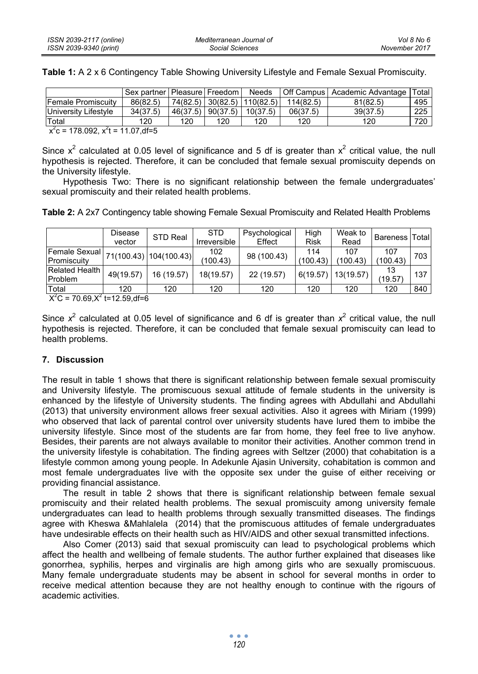|  |  |  | Table 1: A 2 x 6 Contingency Table Showing University Lifestyle and Female Sexual Promiscuity. |  |
|--|--|--|------------------------------------------------------------------------------------------------|--|
|  |  |  |                                                                                                |  |

|                             | Sex partner   Pleasure   Freedom |     |                     | Needs                       |           | Off Campus   Academic Advantage | Total |
|-----------------------------|----------------------------------|-----|---------------------|-----------------------------|-----------|---------------------------------|-------|
| <b>IFemale Promiscuity</b>  | 86(82.5)                         |     |                     | 74(82.5) 30(82.5) 110(82.5) | 114(82.5) | 81(82.5)                        | 495   |
| <b>University Lifestyle</b> | 34(37.5)                         |     | 46(37.5)   90(37.5) | 10(37.5)                    | 06(37.5)  | 39(37.5)                        | 225   |
| Total                       | 120                              | 120 | 120                 | 120                         | 120       | 120                             | 720   |
| $\cdots$<br>.               |                                  |     |                     |                             |           |                                 |       |

 $x^2$ c = 178.092,  $x^2$ t = 11.07,df=5

Since  $x^2$  calculated at 0.05 level of significance and 5 df is greater than  $x^2$  critical value, the null hypothesis is rejected. Therefore, it can be concluded that female sexual promiscuity depends on the University lifestyle.

Hypothesis Two: There is no significant relationship between the female undergraduates' sexual promiscuity and their related health problems.

|  |  |  | Table 2: A 2x7 Contingency table showing Female Sexual Promiscuity and Related Health Problems |
|--|--|--|------------------------------------------------------------------------------------------------|
|--|--|--|------------------------------------------------------------------------------------------------|

|                                         | <b>Disease</b> | STD Real                 | <b>STD</b>          | Psychological | High            | Weak to         | Bareness   Total |     |
|-----------------------------------------|----------------|--------------------------|---------------------|---------------|-----------------|-----------------|------------------|-----|
|                                         | vector         |                          | <b>Irreversible</b> | Effect        | <b>Risk</b>     | Read            |                  |     |
| Female Sexual<br>Promiscuity            |                | 71(100.43)   104(100.43) | 102<br>(100.43)     | 98 (100.43)   | 114<br>(100.43) | 107<br>(100.43) | 107<br>(100.43)  | 703 |
| <b>Related Health</b><br><b>Problem</b> | 49(19.57)      | 16 (19.57)               | 18(19.57)           | 22 (19.57)    | 6(19.57)        | 13(19.57)       | 13<br>(19.57)    | 137 |
| Total<br>$\sim$ $\sim$ $\sim$           | 120            | 120                      | 120                 | 120           | 120             | 120             | 120              | 840 |

 $X^2C = 70.69, X^2$  t=12.59,df=6

Since  $x^2$  calculated at 0.05 level of significance and 6 df is greater than  $x^2$  critical value, the null hypothesis is rejected. Therefore, it can be concluded that female sexual promiscuity can lead to health problems.

# **7. Discussion**

The result in table 1 shows that there is significant relationship between female sexual promiscuity and University lifestyle. The promiscuous sexual attitude of female students in the university is enhanced by the lifestyle of University students. The finding agrees with Abdullahi and Abdullahi (2013) that university environment allows freer sexual activities. Also it agrees with Miriam (1999) who observed that lack of parental control over university students have lured them to imbibe the university lifestyle. Since most of the students are far from home, they feel free to live anyhow. Besides, their parents are not always available to monitor their activities. Another common trend in the university lifestyle is cohabitation. The finding agrees with Seltzer (2000) that cohabitation is a lifestyle common among young people. In Adekunle Ajasin University, cohabitation is common and most female undergraduates live with the opposite sex under the guise of either receiving or providing financial assistance.

The result in table 2 shows that there is significant relationship between female sexual promiscuity and their related health problems. The sexual promiscuity among university female undergraduates can lead to health problems through sexually transmitted diseases. The findings agree with Kheswa &Mahlalela (2014) that the promiscuous attitudes of female undergraduates have undesirable effects on their health such as HIV/AIDS and other sexual transmitted infections.

Also Comer (2013) said that sexual promiscuity can lead to psychological problems which affect the health and wellbeing of female students. The author further explained that diseases like gonorrhea, syphilis, herpes and virginalis are high among girls who are sexually promiscuous. Many female undergraduate students may be absent in school for several months in order to receive medical attention because they are not healthy enough to continue with the rigours of academic activities.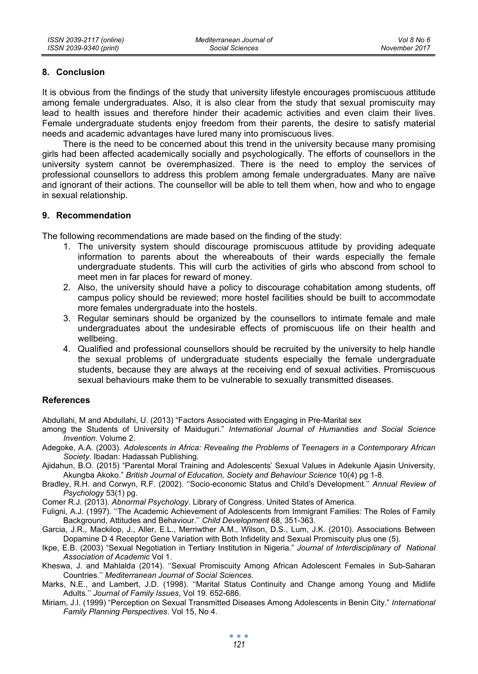### **8. Conclusion**

It is obvious from the findings of the study that university lifestyle encourages promiscuous attitude among female undergraduates. Also, it is also clear from the study that sexual promiscuity may lead to health issues and therefore hinder their academic activities and even claim their lives. Female undergraduate students enjoy freedom from their parents, the desire to satisfy material needs and academic advantages have lured many into promiscuous lives.

There is the need to be concerned about this trend in the university because many promising girls had been affected academically socially and psychologically. The efforts of counsellors in the university system cannot be overemphasized. There is the need to employ the services of professional counsellors to address this problem among female undergraduates. Many are naïve and ignorant of their actions. The counsellor will be able to tell them when, how and who to engage in sexual relationship.

### **9. Recommendation**

The following recommendations are made based on the finding of the study:

- 1. The university system should discourage promiscuous attitude by providing adequate information to parents about the whereabouts of their wards especially the female undergraduate students. This will curb the activities of girls who abscond from school to meet men in far places for reward of money.
- 2. Also, the university should have a policy to discourage cohabitation among students, off campus policy should be reviewed; more hostel facilities should be built to accommodate more females undergraduate into the hostels.
- 3. Regular seminars should be organized by the counsellors to intimate female and male undergraduates about the undesirable effects of promiscuous life on their health and wellbeing.
- 4. Qualified and professional counsellors should be recruited by the university to help handle the sexual problems of undergraduate students especially the female undergraduate students, because they are always at the receiving end of sexual activities. Promiscuous sexual behaviours make them to be vulnerable to sexually transmitted diseases.

# **References**

Abdullahi, M and Abdullahi, U. (2013) "Factors Associated with Engaging in Pre-Marital sex

- among the Students of University of Maiduguri." *International Journal of Humanities and Social Science Invention*. Volume 2.
- Adegoke, A.A. (2003). *Adolescents in Africa: Revealing the Problems of Teenagers in a Contemporary African Society*. Ibadan: Hadassah Publishing.
- Ajidahun, B.O. (2015) "Parental Moral Training and Adolescents' Sexual Values in Adekunle Ajasin University, Akungba Akoko." *British Journal of Education, Society and Behaviour Science* 10(4) pg 1-8.
- Bradley, R.H. and Corwyn, R.F. (2002). ''Socio-economic Status and Child's Development.'' *Annual Review of Psychology* 53(1) pg.
- Comer R.J. (2013). *Abnormal Psychology*. Library of Congress. United States of America.
- Fuligni, A.J. (1997). ''The Academic Achievement of Adolescents from Immigrant Families: The Roles of Family Background, Attitudes and Behaviour.'' *Child Development* 68, 351-363.
- Garcia, J.R., Mackilop, J., Aller, E.L., Merriwther A.M., Wilson, D.S., Lum, J.K. (2010). Associations Between Dopamine D 4 Receptor Gene Variation with Both Infidelity and Sexual Promiscuity plus one (5).
- Ikpe, E.B. (2003) "Sexual Negotiation in Tertiary Institution in Nigeria." *Journal of Interdisciplinary of National Association of Academic* Vol 1.
- Kheswa, J. and Mahlalda (2014). ''Sexual Promiscuity Among African Adolescent Females in Sub-Saharan Countries.'' *Mediterranean Journal of Social Sciences*.
- Marks, N.E., and Lambert, J.D. (1998). ''Marital Status Continuity and Change among Young and Midlife Adults.'' *Journal of Family Issues*, Vol 19. 652-686.
- Miriam, J.I. (1999) "Perception on Sexual Transmitted Diseases Among Adolescents in Benin City." *International Family Planning Perspectives*. Vol 15, No 4.